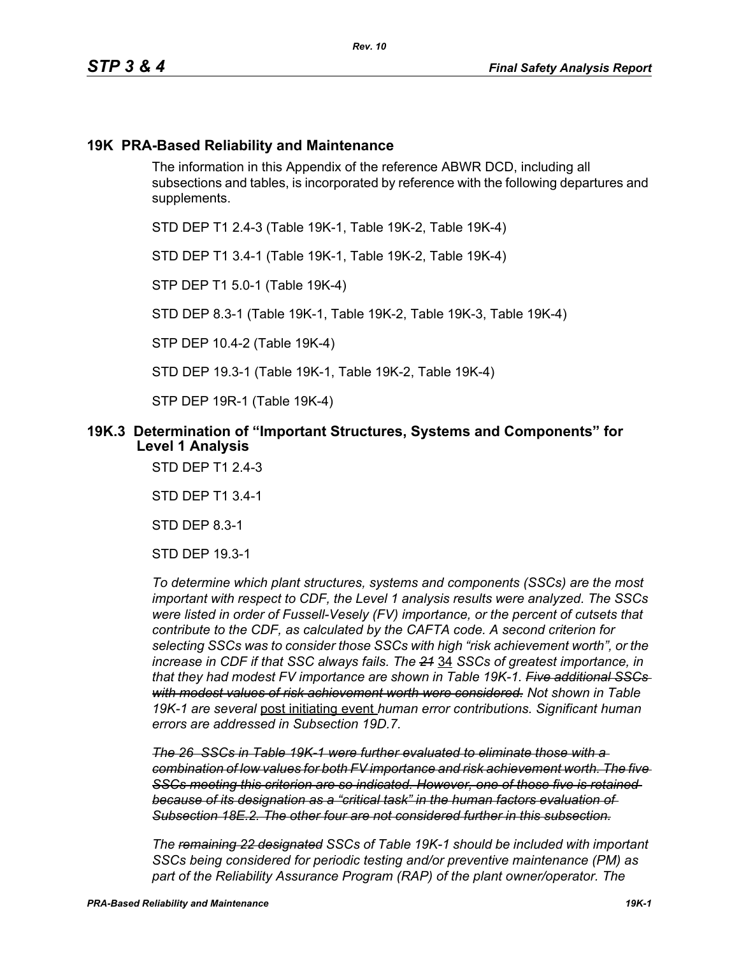## **19K PRA-Based Reliability and Maintenance**

The information in this Appendix of the reference ABWR DCD, including all subsections and tables, is incorporated by reference with the following departures and supplements.

STD DEP T1 2.4-3 (Table 19K-1, Table 19K-2, Table 19K-4)

STD DEP T1 3.4-1 (Table 19K-1, Table 19K-2, Table 19K-4)

STP DEP T1 5.0-1 (Table 19K-4)

STD DEP 8.3-1 (Table 19K-1, Table 19K-2, Table 19K-3, Table 19K-4)

STP DEP 10.4-2 (Table 19K-4)

STD DEP 19.3-1 (Table 19K-1, Table 19K-2, Table 19K-4)

STP DEP 19R-1 (Table 19K-4)

#### **19K.3 Determination of "Important Structures, Systems and Components" for Level 1 Analysis**

STD DEP T1 2.4-3

STD DEP T1 3.4-1

STD DEP 8.3-1

STD DEP 19.3-1

*To determine which plant structures, systems and components (SSCs) are the most important with respect to CDF, the Level 1 analysis results were analyzed. The SSCs were listed in order of Fussell-Vesely (FV) importance, or the percent of cutsets that contribute to the CDF, as calculated by the CAFTA code. A second criterion for selecting SSCs was to consider those SSCs with high "risk achievement worth", or the increase in CDF if that SSC always fails. The 21* 34 *SSCs of greatest importance, in that they had modest FV importance are shown in Table 19K-1. Five additional SSCs with modest values of risk achievement worth were considered. Not shown in Table 19K-1 are several* post initiating event *human error contributions. Significant human errors are addressed in Subsection 19D.7.*

*The 26 SSCs in Table 19K-1 were further evaluated to eliminate those with a combination of low values for both FV importance and risk achievement worth. The five SSCs meeting this criterion are so indicated. However, one of those five is retained because of its designation as a "critical task" in the human factors evaluation of Subsection 18E.2. The other four are not considered further in this subsection.*

*The remaining 22 designated SSCs of Table 19K-1 should be included with important SSCs being considered for periodic testing and/or preventive maintenance (PM) as part of the Reliability Assurance Program (RAP) of the plant owner/operator. The*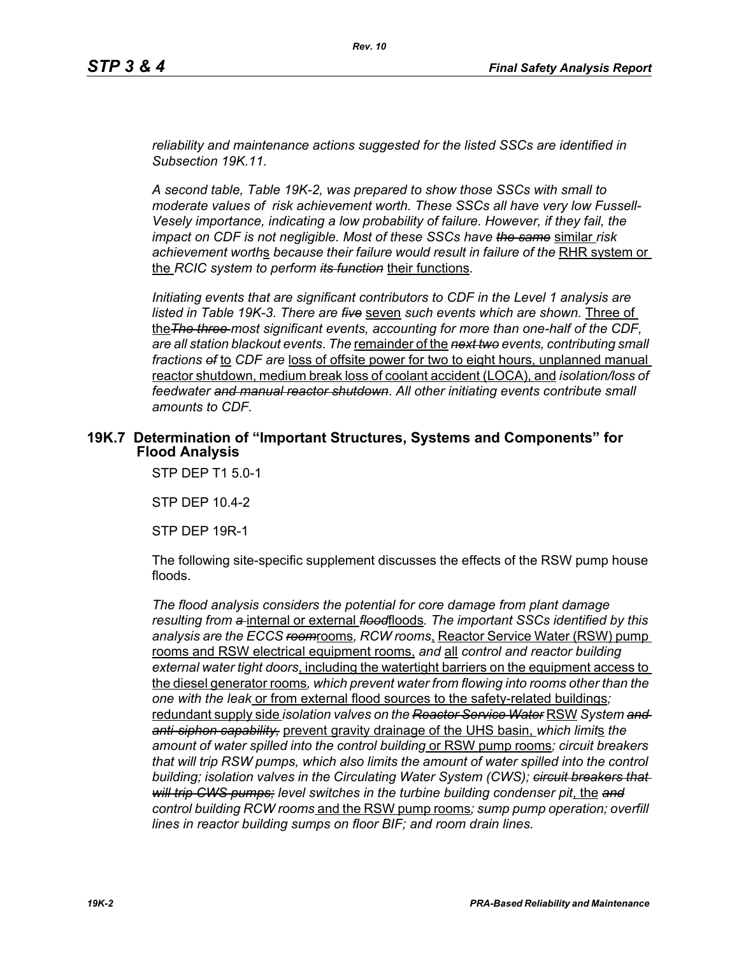*reliability and maintenance actions suggested for the listed SSCs are identified in Subsection 19K.11.*

*A second table, Table 19K-2, was prepared to show those SSCs with small to moderate values of risk achievement worth. These SSCs all have very low Fussell-Vesely importance, indicating a low probability of failure. However, if they fail, the impact on CDF is not negligible. Most of these SSCs have the same* similar *risk achievement worth*s *because their failure would result in failure of the* RHR system or the *RCIC system to perform its function* their functions*.*

*Initiating events that are significant contributors to CDF in the Level 1 analysis are listed in Table 19K-3. There are five* seven *such events which are shown.* Three of the*The three most significant events, accounting for more than one-half of the CDF, are all station blackout events*. *The* remainder of the *next two events, contributing small fractions of* to *CDF are* loss of offsite power for two to eight hours, unplanned manual reactor shutdown, medium break loss of coolant accident (LOCA), and *isolation/loss of feedwater and manual reactor shutdown*. *All other initiating events contribute small amounts to CDF.*

#### **19K.7 Determination of "Important Structures, Systems and Components" for Flood Analysis**

STP DEP T1 5.0-1

STP DEP 10.4-2

STP DEP 19R-1

The following site-specific supplement discusses the effects of the RSW pump house floods.

*The flood analysis considers the potential for core damage from plant damage resulting from a* internal or external *flood*floods*. The important SSCs identified by this analysis are the ECCS room*rooms*, RCW rooms*, Reactor Service Water (RSW) pump rooms and RSW electrical equipment rooms, *and* all *control and reactor building external water tight doors*, including the watertight barriers on the equipment access to the diesel generator rooms*, which prevent water from flowing into rooms other than the one with the leak* or from external flood sources to the safety-related buildings*;*  redundant supply side *isolation valves on the Reactor Service Water* RSW *System and anti-siphon capability,* prevent gravity drainage of the UHS basin, *which limit*s *the amount of water spilled into the control building* or RSW pump rooms*; circuit breakers that will trip RSW pumps, which also limits the amount of water spilled into the control building; isolation valves in the Circulating Water System (CWS); circuit breakers that will trip CWS pumps; level switches in the turbine building condenser pit*, the *and control building RCW rooms* and the RSW pump rooms*; sump pump operation; overfill lines in reactor building sumps on floor BIF; and room drain lines.*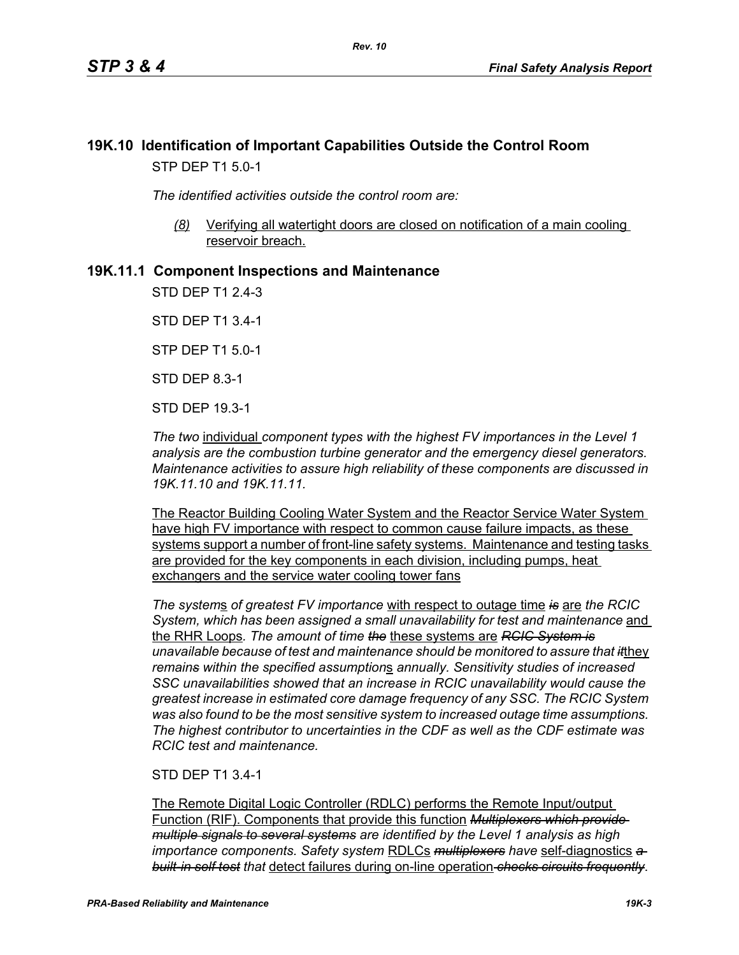## **19K.10 Identification of Important Capabilities Outside the Control Room** STP DEP T1 5.0-1

*The identified activities outside the control room are:*

*(8)* Verifying all watertight doors are closed on notification of a main cooling reservoir breach.

## **19K.11.1 Component Inspections and Maintenance**

STD DEP T1 2.4-3

STD DEP T1 3.4-1

STP DEP T1 5.0-1

STD DEP 8.3-1

STD DEP 19.3-1

*The two* individual *component types with the highest FV importances in the Level 1 analysis are the combustion turbine generator and the emergency diesel generators. Maintenance activities to assure high reliability of these components are discussed in 19K.11.10 and 19K.11.11.*

The Reactor Building Cooling Water System and the Reactor Service Water System have high FV importance with respect to common cause failure impacts, as these systems support a number of front-line safety systems. Maintenance and testing tasks are provided for the key components in each division, including pumps, heat exchangers and the service water cooling tower fans

*The system*s *of greatest FV importance* with respect to outage time *is* are *the RCIC System, which has been assigned a small unavailability for test and maintenance* and the RHR Loops*. The amount of time the* these systems are *RCIC System is unavailable because of test and maintenance should be monitored to assure that it*they *remains within the specified assumption*s *annually. Sensitivity studies of increased SSC unavailabilities showed that an increase in RCIC unavailability would cause the greatest increase in estimated core damage frequency of any SSC. The RCIC System was also found to be the most sensitive system to increased outage time assumptions. The highest contributor to uncertainties in the CDF as well as the CDF estimate was RCIC test and maintenance.*

#### STD DEP T1 3.4-1

The Remote Digital Logic Controller (RDLC) performs the Remote Input/output Function (RIF). Components that provide this function *Multiplexers which provide multiple signals to several systems are identified by the Level 1 analysis as high importance components. Safety system* RDLCs *multiplexers have* self-diagnostics *a built-in self test that* detect failures during on-line operation *checks circuits frequently*.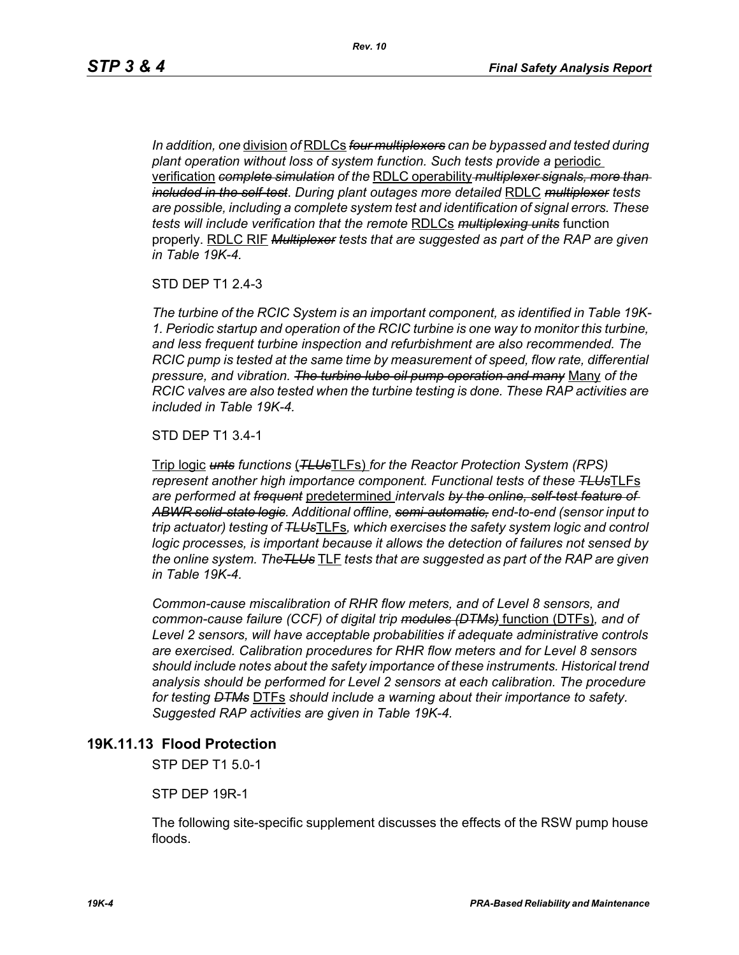*In addition, one* division *of* RDLCs *four multiplexers can be bypassed and tested during plant operation without loss of system function. Such tests provide a* periodic verification *complete simulation of the* RDLC operability *multiplexer signals, more than included in the self-test*. *During plant outages more detailed* RDLC *multiplexer tests are possible, including a complete system test and identification of signal errors. These tests will include verification that the remote* RDLCs *multiplexing units* function properly. RDLC RIF *Multiplexer tests that are suggested as part of the RAP are given in Table 19K-4.*

STD DEP T1 2.4-3

*The turbine of the RCIC System is an important component, as identified in Table 19K-1. Periodic startup and operation of the RCIC turbine is one way to monitor this turbine, and less frequent turbine inspection and refurbishment are also recommended. The RCIC pump is tested at the same time by measurement of speed, flow rate, differential pressure, and vibration. The turbine lube oil pump operation and many* Many *of the RCIC valves are also tested when the turbine testing is done. These RAP activities are included in Table 19K-4.*

STD DEP T1 3.4-1

Trip logic *unts functions* (*TLUs*TLFs) *for the Reactor Protection System (RPS) represent another high importance component. Functional tests of these TLUs*TLFs *are performed at frequent* predetermined *intervals by the online, self-test feature of ABWR solid-state logic. Additional offline, semi-automatic, end-to-end (sensor input to trip actuator) testing of TLUs*TLFs*, which exercises the safety system logic and control logic processes, is important because it allows the detection of failures not sensed by the online system. TheTLUs* TLF *tests that are suggested as part of the RAP are given in Table 19K-4.* 

*Common-cause miscalibration of RHR flow meters, and of Level 8 sensors, and common-cause failure (CCF) of digital trip modules (DTMs)* function (DTFs)*, and of Level 2 sensors, will have acceptable probabilities if adequate administrative controls are exercised. Calibration procedures for RHR flow meters and for Level 8 sensors should include notes about the safety importance of these instruments. Historical trend analysis should be performed for Level 2 sensors at each calibration. The procedure for testing DTMs* DTFs *should include a warning about their importance to safety. Suggested RAP activities are given in Table 19K-4.*

#### **19K.11.13 Flood Protection**

STP DEP T1 5.0-1

STP DEP 19R-1

The following site-specific supplement discusses the effects of the RSW pump house floods.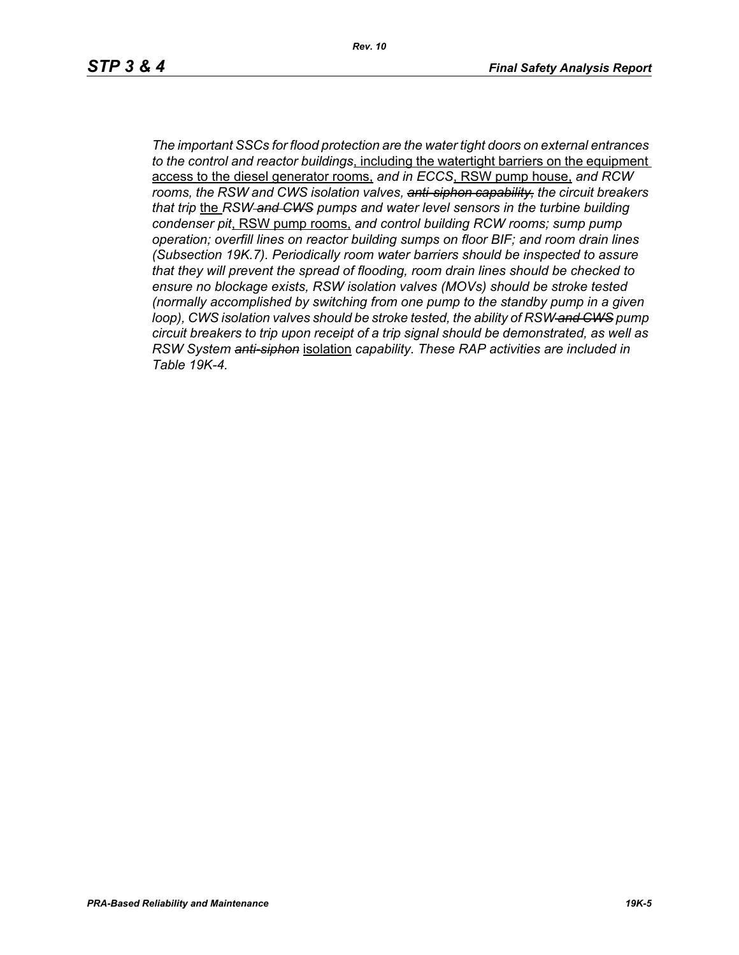*Rev. 10*

*The important SSCs for flood protection are the water tight doors on external entrances to the control and reactor buildings*, including the watertight barriers on the equipment access to the diesel generator rooms, *and in ECCS*, RSW pump house, *and RCW rooms, the RSW and CWS isolation valves, anti-siphon capability, the circuit breakers that trip* the *RSW and CWS pumps and water level sensors in the turbine building condenser pit*, RSW pump rooms, *and control building RCW rooms; sump pump operation; overfill lines on reactor building sumps on floor BIF; and room drain lines (Subsection 19K.7). Periodically room water barriers should be inspected to assure that they will prevent the spread of flooding, room drain lines should be checked to ensure no blockage exists, RSW isolation valves (MOVs) should be stroke tested (normally accomplished by switching from one pump to the standby pump in a given loop), CWS isolation valves should be stroke tested, the ability of RSW and CWS pump circuit breakers to trip upon receipt of a trip signal should be demonstrated, as well as RSW System anti-siphon* isolation *capability. These RAP activities are included in Table 19K-4.*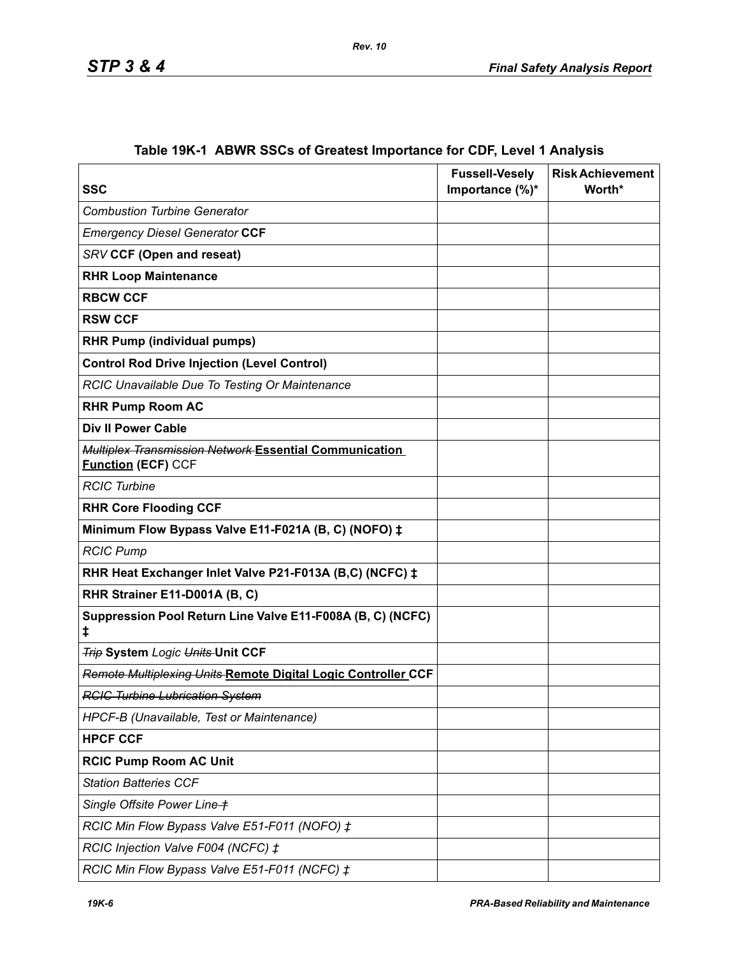| <b>SSC</b>                                                                          | <b>Fussell-Vesely</b><br>Importance $(\%)^*$ | <b>Risk Achievement</b><br>Worth* |
|-------------------------------------------------------------------------------------|----------------------------------------------|-----------------------------------|
| <b>Combustion Turbine Generator</b>                                                 |                                              |                                   |
| <b>Emergency Diesel Generator CCF</b>                                               |                                              |                                   |
| <b>SRV CCF (Open and reseat)</b>                                                    |                                              |                                   |
| <b>RHR Loop Maintenance</b>                                                         |                                              |                                   |
| <b>RBCW CCF</b>                                                                     |                                              |                                   |
| <b>RSW CCF</b>                                                                      |                                              |                                   |
| <b>RHR Pump (individual pumps)</b>                                                  |                                              |                                   |
| <b>Control Rod Drive Injection (Level Control)</b>                                  |                                              |                                   |
| RCIC Unavailable Due To Testing Or Maintenance                                      |                                              |                                   |
| <b>RHR Pump Room AC</b>                                                             |                                              |                                   |
| <b>Div II Power Cable</b>                                                           |                                              |                                   |
| Multiplex Transmission Network Essential Communication<br><b>Function (ECF) CCF</b> |                                              |                                   |
| <b>RCIC Turbine</b>                                                                 |                                              |                                   |
| <b>RHR Core Flooding CCF</b>                                                        |                                              |                                   |
| Minimum Flow Bypass Valve E11-F021A (B, C) (NOFO) ‡                                 |                                              |                                   |
| <b>RCIC Pump</b>                                                                    |                                              |                                   |
| RHR Heat Exchanger Inlet Valve P21-F013A (B,C) (NCFC) ‡                             |                                              |                                   |
| RHR Strainer E11-D001A (B, C)                                                       |                                              |                                   |
| Suppression Pool Return Line Valve E11-F008A (B, C) (NCFC)<br>ŧ                     |                                              |                                   |
| <b>Trip System Logic Units-Unit CCF</b>                                             |                                              |                                   |
| Remote Multiplexing Units Remote Digital Logic Controller CCF                       |                                              |                                   |
| <b>RCIC Turbine Lubrication System</b>                                              |                                              |                                   |
| HPCF-B (Unavailable, Test or Maintenance)                                           |                                              |                                   |
| <b>HPCF CCF</b>                                                                     |                                              |                                   |
| <b>RCIC Pump Room AC Unit</b>                                                       |                                              |                                   |
| <b>Station Batteries CCF</b>                                                        |                                              |                                   |
| Single Offsite Power Line +                                                         |                                              |                                   |
| RCIC Min Flow Bypass Valve E51-F011 (NOFO) ‡                                        |                                              |                                   |
| RCIC Injection Valve F004 (NCFC) ‡                                                  |                                              |                                   |
| RCIC Min Flow Bypass Valve E51-F011 (NCFC) ‡                                        |                                              |                                   |

# **Table 19K-1 ABWR SSCs of Greatest Importance for CDF, Level 1 Analysis**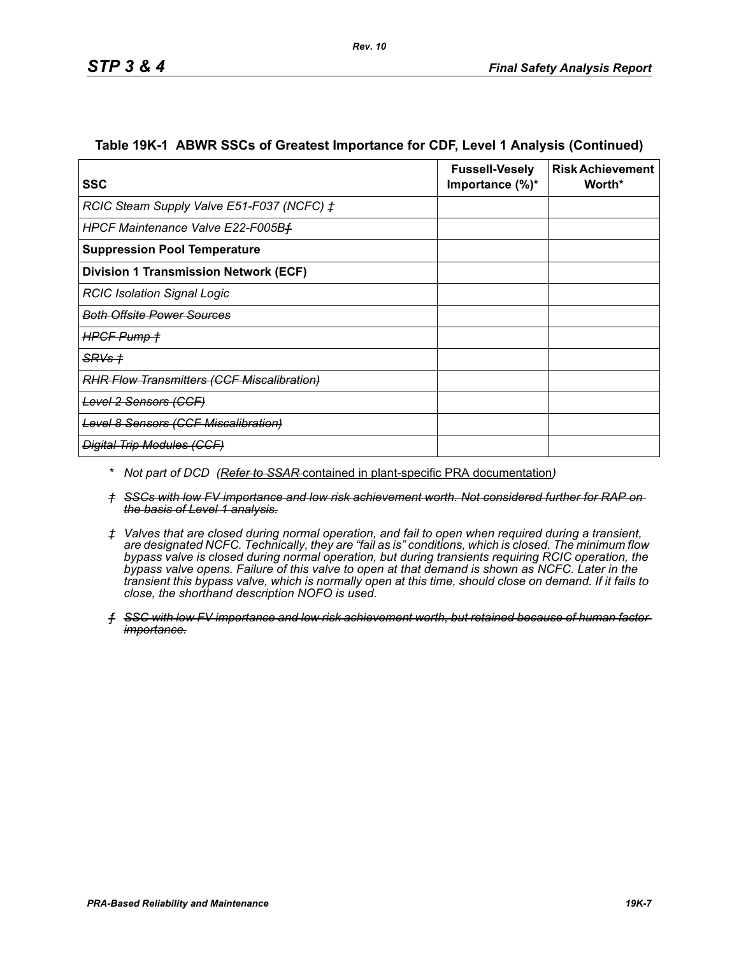| SSC                                               | <b>Fussell-Vesely</b><br>Importance $(\%)^*$ | <b>Risk Achievement</b><br>Worth* |
|---------------------------------------------------|----------------------------------------------|-----------------------------------|
| RCIC Steam Supply Valve E51-F037 (NCFC) ‡         |                                              |                                   |
| HPCF Maintenance Valve E22-F005Bf                 |                                              |                                   |
| <b>Suppression Pool Temperature</b>               |                                              |                                   |
| <b>Division 1 Transmission Network (ECF)</b>      |                                              |                                   |
| <b>RCIC Isolation Signal Logic</b>                |                                              |                                   |
| <del>Both Offsite Power Sources</del>             |                                              |                                   |
| HPGF Pump +                                       |                                              |                                   |
| SRVs +                                            |                                              |                                   |
| <b>RHR Flow Transmitters (CCF Miscalibration)</b> |                                              |                                   |
| Level 2 Sensors (CCF)                             |                                              |                                   |
| <b>Level 8 Sensors (CCF Miscalibration)</b>       |                                              |                                   |
| <b>Digital Trip Modules (CCF)</b>                 |                                              |                                   |

#### **Table 19K-1 ABWR SSCs of Greatest Importance for CDF, Level 1 Analysis (Continued)**

- *\* Not part of DCD (Refer to SSAR* contained in plant-specific PRA documentation*)*
- *† SSCs with low FV importance and low risk achievement worth. Not considered further for RAP on the basis of Level 1 analysis.*
- *‡ Valves that are closed during normal operation, and fail to open when required during a transient, are designated NCFC. Technically, they are "fail as is" conditions, which is closed. The minimum flow bypass valve is closed during normal operation, but during transients requiring RCIC operation, the bypass valve opens. Failure of this valve to open at that demand is shown as NCFC. Later in the transient this bypass valve, which is normally open at this time, should close on demand. If it fails to close, the shorthand description NOFO is used.*
- *ƒ SSC with low FV importance and low risk achievement worth, but retained because of human factor importance.*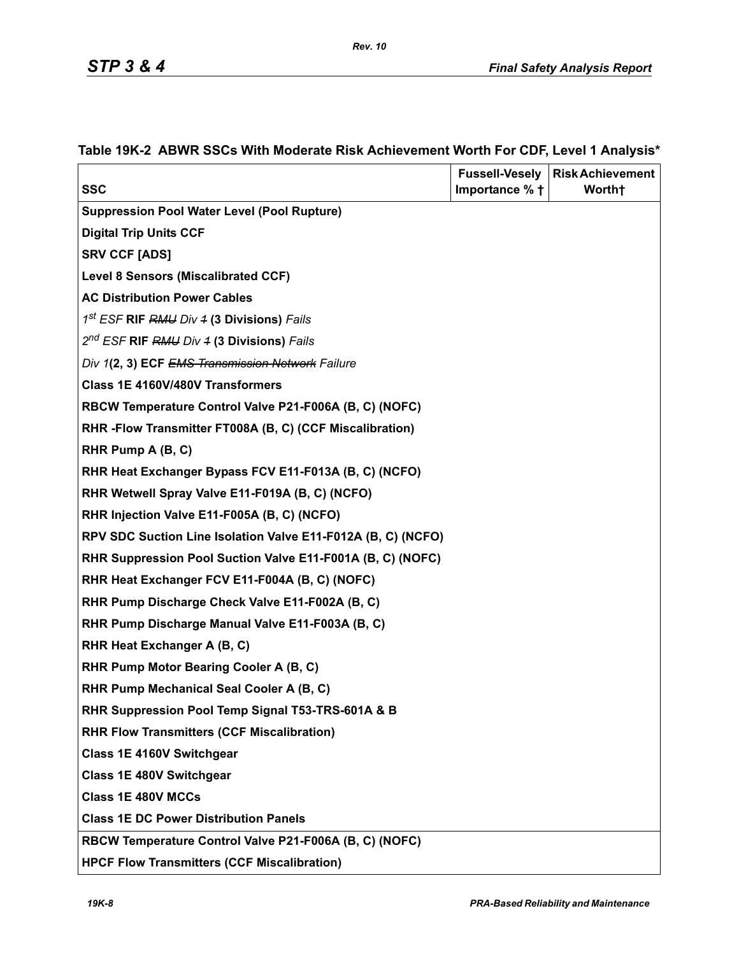| <b>SSC</b>                                                                           | <b>Fussell-Vesely</b><br>Importance % + | <b>Risk Achievement</b><br>Worth <sup>+</sup> |
|--------------------------------------------------------------------------------------|-----------------------------------------|-----------------------------------------------|
| <b>Suppression Pool Water Level (Pool Rupture)</b>                                   |                                         |                                               |
| <b>Digital Trip Units CCF</b>                                                        |                                         |                                               |
| <b>SRV CCF [ADS]</b>                                                                 |                                         |                                               |
| Level 8 Sensors (Miscalibrated CCF)                                                  |                                         |                                               |
| <b>AC Distribution Power Cables</b>                                                  |                                         |                                               |
| 1 <sup>st</sup> ESF RIF RMU Div 4 (3 Divisions) Fails                                |                                         |                                               |
| 2 <sup>nd</sup> ESF RIF RMU Div 4 (3 Divisions) Fails                                |                                         |                                               |
|                                                                                      |                                         |                                               |
| Div 1(2, 3) ECF EMS Transmission Network Failure<br>Class 1E 4160V/480V Transformers |                                         |                                               |
|                                                                                      |                                         |                                               |
| RBCW Temperature Control Valve P21-F006A (B, C) (NOFC)                               |                                         |                                               |
| RHR - Flow Transmitter FT008A (B, C) (CCF Miscalibration)                            |                                         |                                               |
| RHR Pump A (B, C)                                                                    |                                         |                                               |
| RHR Heat Exchanger Bypass FCV E11-F013A (B, C) (NCFO)                                |                                         |                                               |
| RHR Wetwell Spray Valve E11-F019A (B, C) (NCFO)                                      |                                         |                                               |
| RHR Injection Valve E11-F005A (B, C) (NCFO)                                          |                                         |                                               |
| RPV SDC Suction Line Isolation Valve E11-F012A (B, C) (NCFO)                         |                                         |                                               |
| RHR Suppression Pool Suction Valve E11-F001A (B, C) (NOFC)                           |                                         |                                               |
| RHR Heat Exchanger FCV E11-F004A (B, C) (NOFC)                                       |                                         |                                               |
| RHR Pump Discharge Check Valve E11-F002A (B, C)                                      |                                         |                                               |
| RHR Pump Discharge Manual Valve E11-F003A (B, C)                                     |                                         |                                               |
| RHR Heat Exchanger A (B, C)                                                          |                                         |                                               |
| RHR Pump Motor Bearing Cooler A (B, C)                                               |                                         |                                               |
| RHR Pump Mechanical Seal Cooler A (B, C)                                             |                                         |                                               |
| RHR Suppression Pool Temp Signal T53-TRS-601A & B                                    |                                         |                                               |
| <b>RHR Flow Transmitters (CCF Miscalibration)</b>                                    |                                         |                                               |
| Class 1E 4160V Switchgear                                                            |                                         |                                               |
| <b>Class 1E 480V Switchgear</b>                                                      |                                         |                                               |
| <b>Class 1E 480V MCCs</b>                                                            |                                         |                                               |
| <b>Class 1E DC Power Distribution Panels</b>                                         |                                         |                                               |
| RBCW Temperature Control Valve P21-F006A (B, C) (NOFC)                               |                                         |                                               |
| <b>HPCF Flow Transmitters (CCF Miscalibration)</b>                                   |                                         |                                               |

## **Table 19K-2 ABWR SSCs With Moderate Risk Achievement Worth For CDF, Level 1 Analysis\***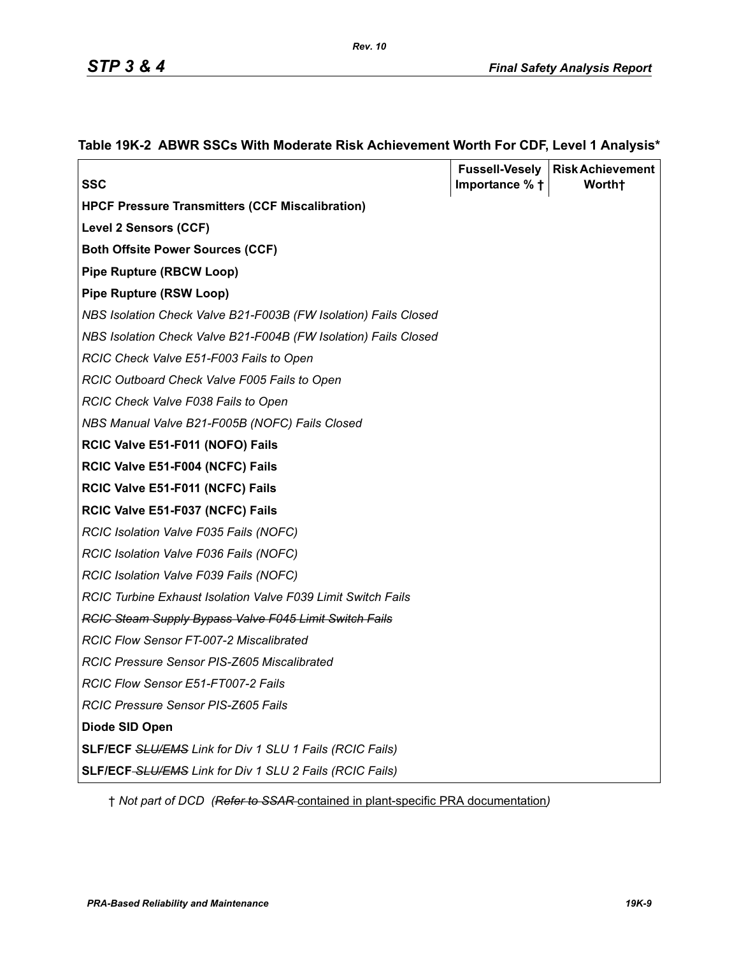|                                                                 |                          | <b>Fussell-Vesely   Risk Achievement</b> |
|-----------------------------------------------------------------|--------------------------|------------------------------------------|
| <b>SSC</b>                                                      | Importance $%$ $\dagger$ | Worth <sup>+</sup>                       |
| <b>HPCF Pressure Transmitters (CCF Miscalibration)</b>          |                          |                                          |
| <b>Level 2 Sensors (CCF)</b>                                    |                          |                                          |
| <b>Both Offsite Power Sources (CCF)</b>                         |                          |                                          |
| <b>Pipe Rupture (RBCW Loop)</b>                                 |                          |                                          |
| <b>Pipe Rupture (RSW Loop)</b>                                  |                          |                                          |
| NBS Isolation Check Valve B21-F003B (FW Isolation) Fails Closed |                          |                                          |
| NBS Isolation Check Valve B21-F004B (FW Isolation) Fails Closed |                          |                                          |
| RCIC Check Valve E51-F003 Fails to Open                         |                          |                                          |
| RCIC Outboard Check Valve F005 Fails to Open                    |                          |                                          |
| RCIC Check Valve F038 Fails to Open                             |                          |                                          |
| NBS Manual Valve B21-F005B (NOFC) Fails Closed                  |                          |                                          |
| RCIC Valve E51-F011 (NOFO) Fails                                |                          |                                          |
| RCIC Valve E51-F004 (NCFC) Fails                                |                          |                                          |
| RCIC Valve E51-F011 (NCFC) Fails                                |                          |                                          |
| RCIC Valve E51-F037 (NCFC) Fails                                |                          |                                          |
| RCIC Isolation Valve F035 Fails (NOFC)                          |                          |                                          |
| RCIC Isolation Valve F036 Fails (NOFC)                          |                          |                                          |
| RCIC Isolation Valve F039 Fails (NOFC)                          |                          |                                          |
| RCIC Turbine Exhaust Isolation Valve F039 Limit Switch Fails    |                          |                                          |
| <b>RCIC Steam Supply Bypass Valve F045 Limit Switch Fails</b>   |                          |                                          |
| <b>RCIC Flow Sensor FT-007-2 Miscalibrated</b>                  |                          |                                          |
| RCIC Pressure Sensor PIS-Z605 Miscalibrated                     |                          |                                          |
| RCIC Flow Sensor E51-FT007-2 Fails                              |                          |                                          |
| RCIC Pressure Sensor PIS-Z605 Fails                             |                          |                                          |
| Diode SID Open                                                  |                          |                                          |
| SLF/ECF SLU/EMS Link for Div 1 SLU 1 Fails (RCIC Fails)         |                          |                                          |
| SLF/ECF-SLU/EMS Link for Div 1 SLU 2 Fails (RCIC Fails)         |                          |                                          |

#### **Table 19K-2 ABWR SSCs With Moderate Risk Achievement Worth For CDF, Level 1 Analysis\***

† *Not part of DCD (Refer to SSAR* contained in plant-specific PRA documentation*)*

*Rev. 10*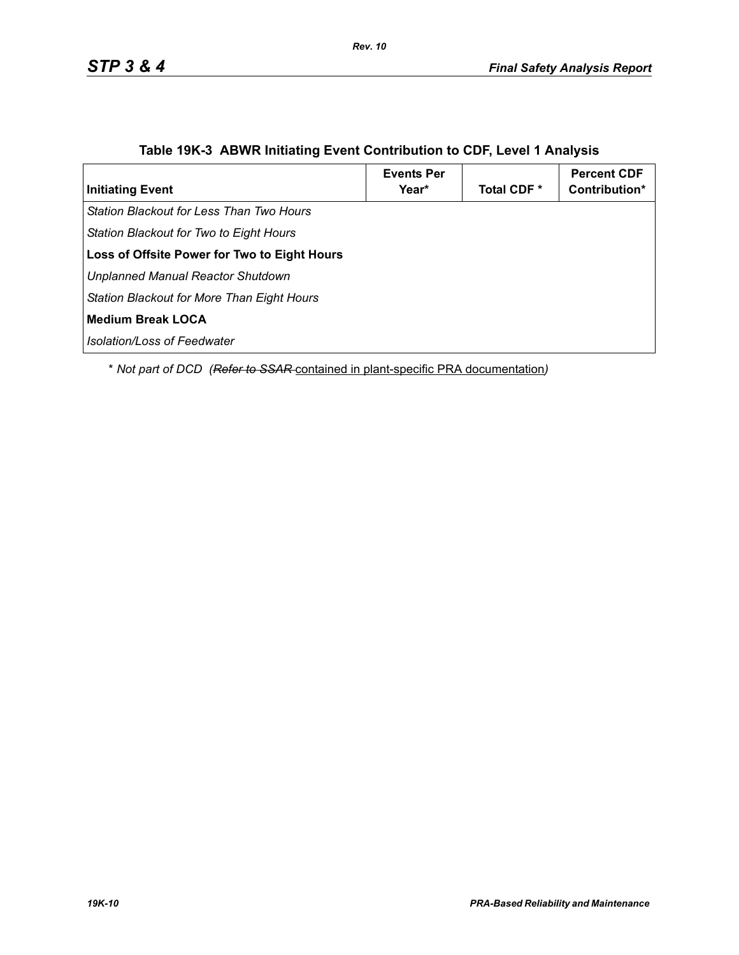| <b>Initiating Event</b>                      | <b>Events Per</b><br>Year* | Total CDF <sup>*</sup> | <b>Percent CDF</b><br>Contribution* |
|----------------------------------------------|----------------------------|------------------------|-------------------------------------|
| Station Blackout for Less Than Two Hours     |                            |                        |                                     |
| Station Blackout for Two to Eight Hours      |                            |                        |                                     |
| Loss of Offsite Power for Two to Eight Hours |                            |                        |                                     |
| <b>Unplanned Manual Reactor Shutdown</b>     |                            |                        |                                     |
| Station Blackout for More Than Eight Hours   |                            |                        |                                     |
| <b>Medium Break LOCA</b>                     |                            |                        |                                     |
| Isolation/Loss of Feedwater                  |                            |                        |                                     |

## **Table 19K-3 ABWR Initiating Event Contribution to CDF, Level 1 Analysis**

*Rev. 10*

\* *Not part of DCD (Refer to SSAR* contained in plant-specific PRA documentation*)*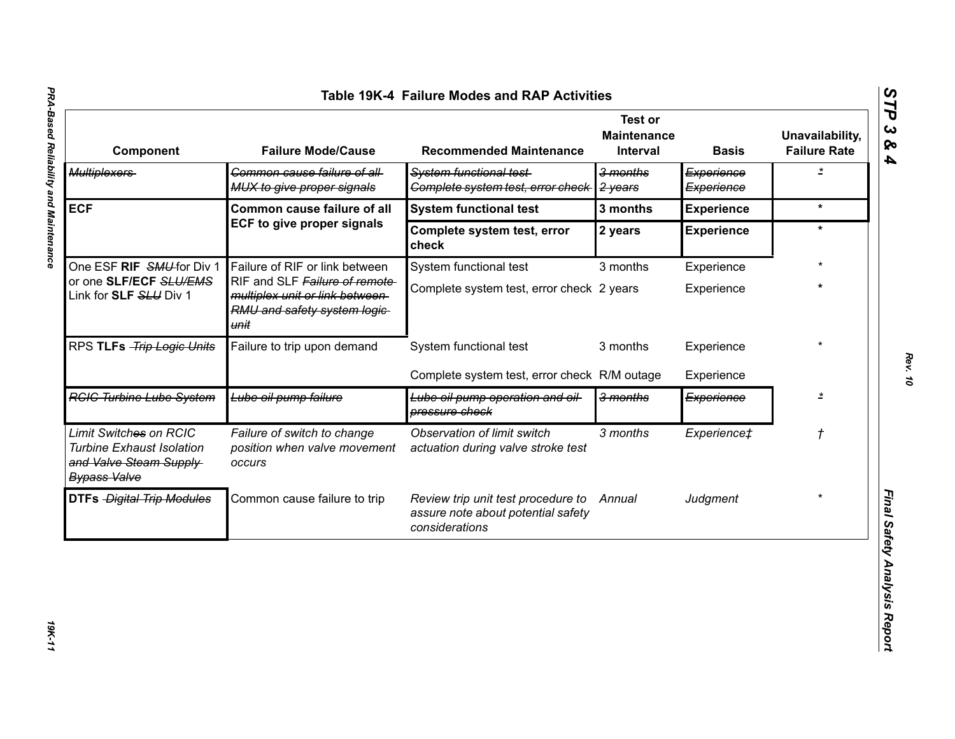| $\boldsymbol{\omega}$<br>Table 19K-4 Failure Modes and RAP Activities<br>ËP                                 |                                                                                                          |                                                                                            |                                                         |                          |                                        |  |
|-------------------------------------------------------------------------------------------------------------|----------------------------------------------------------------------------------------------------------|--------------------------------------------------------------------------------------------|---------------------------------------------------------|--------------------------|----------------------------------------|--|
| Component                                                                                                   | <b>Failure Mode/Cause</b>                                                                                | <b>Recommended Maintenance</b>                                                             | <b>Test or</b><br><b>Maintenance</b><br><b>Interval</b> | <b>Basis</b>             | Unavailability,<br><b>Failure Rate</b> |  |
| <b>Multiplexers</b>                                                                                         | Common cause failure of all-<br>MUX to give proper signals                                               | System functional test-<br>Complete system test, error check                               | 3 months<br>2 years                                     | Experience<br>Experience | $\star$                                |  |
| <b>ECF</b>                                                                                                  | <b>Common cause failure of all</b>                                                                       | <b>System functional test</b>                                                              | 3 months                                                | <b>Experience</b>        | $\star$                                |  |
|                                                                                                             | <b>ECF to give proper signals</b>                                                                        | Complete system test, error<br>check                                                       | 2 years                                                 | <b>Experience</b>        | $\star$                                |  |
| One ESF RIF SMU for Div 1                                                                                   | Failure of RIF or link between                                                                           | System functional test                                                                     | 3 months                                                | Experience               |                                        |  |
| or one SLF/ECF SLU/EMS<br>Link for SLF SLU Div 1                                                            | RIF and SLF Failure of remote<br>multiplex unit or link between-<br>RMU and safety system logic-<br>unit | Complete system test, error check 2 years                                                  |                                                         | Experience               | $\star$                                |  |
| RPS TLFs -Trip Logic Units                                                                                  | Failure to trip upon demand                                                                              | System functional test                                                                     | 3 months                                                | Experience               |                                        |  |
|                                                                                                             |                                                                                                          | Complete system test, error check R/M outage                                               |                                                         | Experience               |                                        |  |
| <b>RGIG Turbine Lube System</b>                                                                             | Lube oil pump failure                                                                                    | Lube oil pump operation and oil<br>pressure check                                          | 3 months                                                | Experience               | $\star$                                |  |
| Limit Switches on RCIC<br><b>Turbine Exhaust Isolation</b><br>and Valve Steam Supply<br><b>Bypass Valve</b> | Failure of switch to change<br>position when valve movement<br>occurs                                    | Observation of limit switch<br>actuation during valve stroke test                          | 3 months                                                | Experience‡              | $^\mathrm{+}$                          |  |
| <b>DTFs Digital Trip Modules</b>                                                                            | Common cause failure to trip                                                                             | Review trip unit test procedure to<br>assure note about potential safety<br>considerations | Annual                                                  | Judgment                 |                                        |  |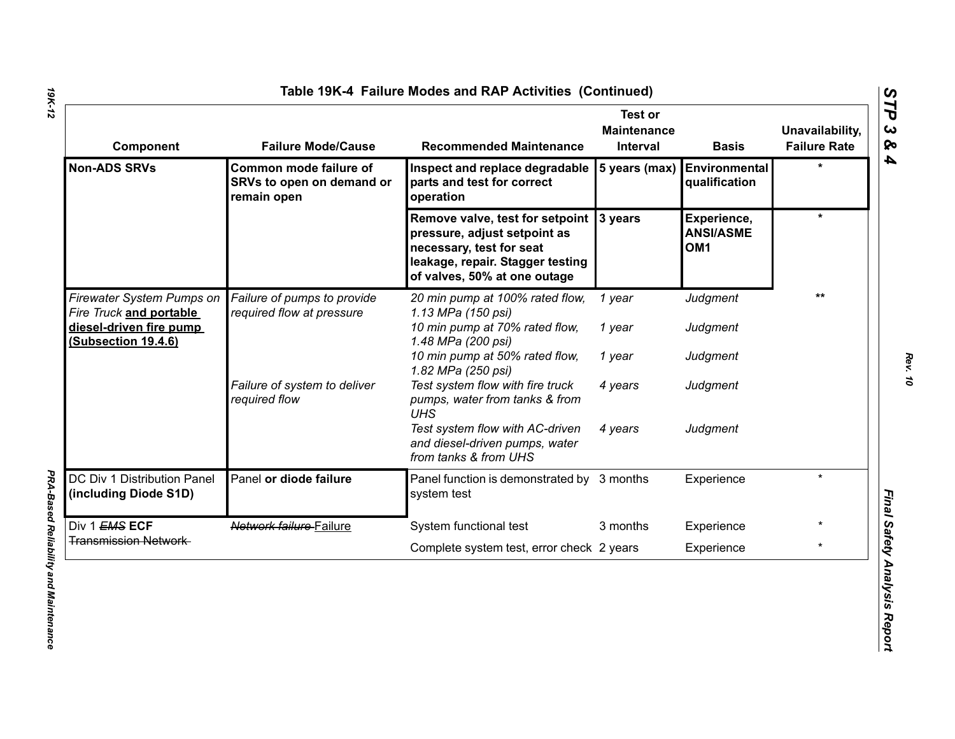| Component                                             | <b>Failure Mode/Cause</b>                                          | <b>Recommended Maintenance</b>                                                                                                                                  | <b>Test or</b><br><b>Maintenance</b><br><b>Interval</b> | <b>Basis</b>                                       | Unavailability,<br><b>Failure Rate</b> |
|-------------------------------------------------------|--------------------------------------------------------------------|-----------------------------------------------------------------------------------------------------------------------------------------------------------------|---------------------------------------------------------|----------------------------------------------------|----------------------------------------|
| <b>Non-ADS SRVs</b>                                   | Common mode failure of<br>SRVs to open on demand or<br>remain open | Inspect and replace degradable<br>parts and test for correct<br>operation                                                                                       | 5 years (max)                                           | Environmental<br>qualification                     | $\star$                                |
|                                                       |                                                                    | Remove valve, test for setpoint<br>pressure, adjust setpoint as<br>necessary, test for seat<br>leakage, repair. Stagger testing<br>of valves, 50% at one outage | 3 years                                                 | Experience,<br><b>ANSI/ASME</b><br>OM <sub>1</sub> | $\star$                                |
| Firewater System Pumps on<br>Fire Truck and portable  | Failure of pumps to provide<br>required flow at pressure           | 20 min pump at 100% rated flow,<br>1.13 MPa (150 psi)                                                                                                           | 1 year                                                  | Judgment                                           | $***$                                  |
| <u>diesel-driven fire pump</u><br>(Subsection 19.4.6) |                                                                    | 10 min pump at 70% rated flow,<br>1.48 MPa (200 psi)                                                                                                            | 1 year                                                  | Judgment                                           |                                        |
|                                                       |                                                                    | 10 min pump at 50% rated flow,<br>1.82 MPa (250 psi)                                                                                                            | 1 year                                                  | Judgment                                           |                                        |
|                                                       | Failure of system to deliver<br>required flow                      | Test system flow with fire truck<br>pumps, water from tanks & from<br><b>UHS</b>                                                                                | 4 years                                                 | Judgment                                           |                                        |
|                                                       |                                                                    | Test system flow with AC-driven<br>and diesel-driven pumps, water<br>from tanks & from UHS                                                                      | 4 years                                                 | Judgment                                           |                                        |
| DC Div 1 Distribution Panel<br>(including Diode S1D)  | Panel or diode failure                                             | Panel function is demonstrated by 3 months<br>system test                                                                                                       |                                                         | Experience                                         | $\star$                                |
| Div 1 EMS ECF                                         | Network failure Failure                                            | System functional test                                                                                                                                          | 3 months                                                | Experience                                         |                                        |
| <b>Transmission Network</b>                           |                                                                    | Complete system test, error check 2 years                                                                                                                       |                                                         | Experience                                         | $\star$                                |

*PRA-Based Reliability and Maintenance* 

**PRA-Based Reliability and Maintenance**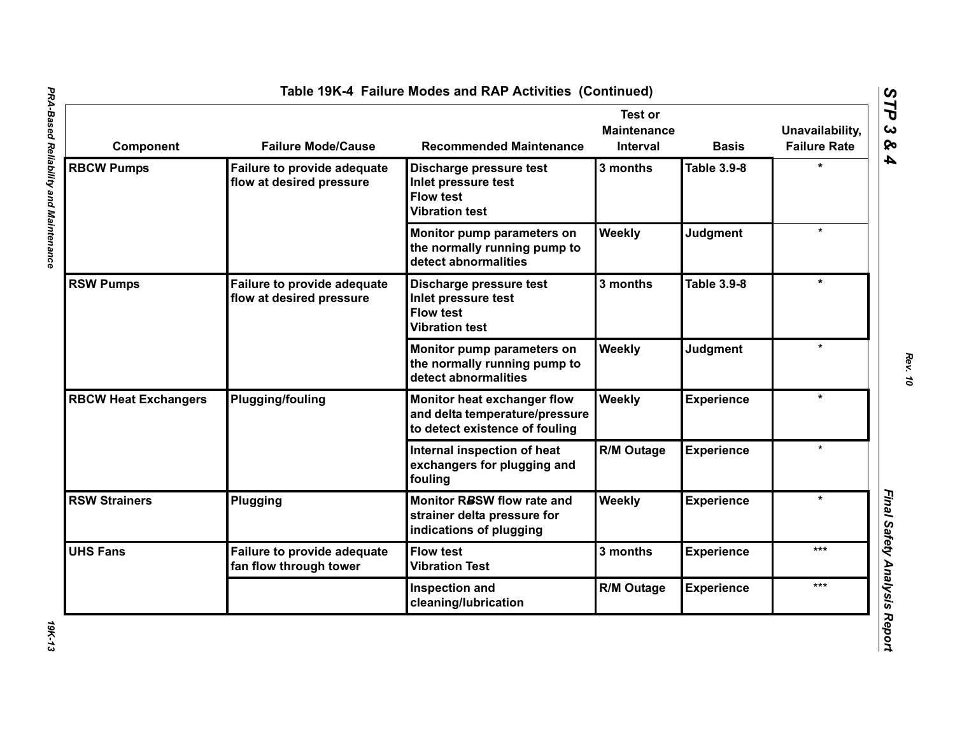| Component                   | <b>Failure Mode/Cause</b>                                      | <b>Recommended Maintenance</b>                                                                  | <b>Test or</b><br><b>Maintenance</b><br>Interval | <b>Basis</b>       | Unavailability,<br><b>Failure Rate</b> |
|-----------------------------|----------------------------------------------------------------|-------------------------------------------------------------------------------------------------|--------------------------------------------------|--------------------|----------------------------------------|
| <b>RBCW Pumps</b>           | Failure to provide adequate<br>flow at desired pressure        | Discharge pressure test<br>Inlet pressure test<br><b>Flow test</b><br><b>Vibration test</b>     | 3 months                                         | <b>Table 3.9-8</b> |                                        |
|                             |                                                                | Monitor pump parameters on<br>the normally running pump to<br>detect abnormalities              | Weekly                                           | <b>Judgment</b>    | $\star$                                |
| <b>RSW Pumps</b>            | <b>Failure to provide adequate</b><br>flow at desired pressure | Discharge pressure test<br>Inlet pressure test<br><b>Flow test</b><br><b>Vibration test</b>     | 3 months                                         | <b>Table 3.9-8</b> | $\star$                                |
|                             |                                                                | Monitor pump parameters on<br>the normally running pump to<br>detect abnormalities              | Weekly                                           | <b>Judgment</b>    | $\star$                                |
| <b>RBCW Heat Exchangers</b> | <b>Plugging/fouling</b>                                        | Monitor heat exchanger flow<br>and delta temperature/pressure<br>to detect existence of fouling | Weekly                                           | <b>Experience</b>  | $\star$                                |
|                             |                                                                | Internal inspection of heat<br>exchangers for plugging and<br>fouling                           | <b>R/M Outage</b>                                | <b>Experience</b>  |                                        |
| <b>RSW Strainers</b>        | Plugging                                                       | Monitor RBSW flow rate and<br>strainer delta pressure for<br>indications of plugging            | Weekly                                           | <b>Experience</b>  | $\star$                                |
| <b>UHS Fans</b>             | Failure to provide adequate<br>fan flow through tower          | <b>Flow test</b><br><b>Vibration Test</b>                                                       | 3 months                                         | <b>Experience</b>  | ***                                    |
|                             |                                                                | Inspection and<br>cleaning/lubrication                                                          | <b>R/M Outage</b>                                | <b>Experience</b>  | ***                                    |

*Rev. 10*

**19K-13**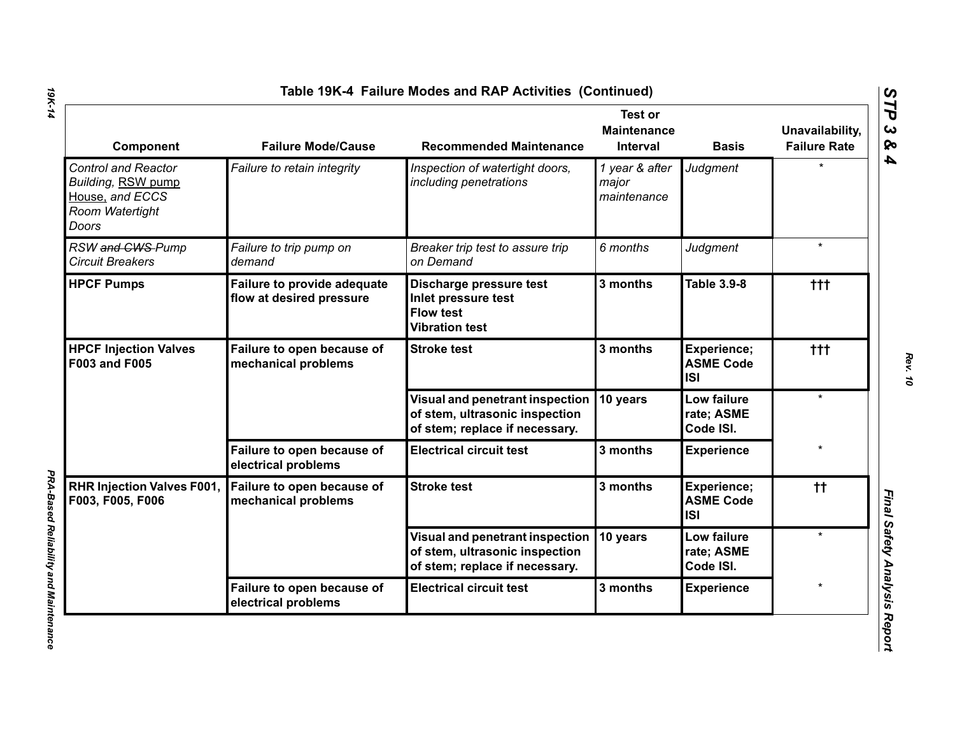| Component                                                                                       | <b>Failure Mode/Cause</b>                               | <b>Recommended Maintenance</b>                                                                      | <b>Test or</b><br><b>Maintenance</b><br>Interval | <b>Basis</b>                                  | Unavailability,<br><b>Failure Rate</b> |
|-------------------------------------------------------------------------------------------------|---------------------------------------------------------|-----------------------------------------------------------------------------------------------------|--------------------------------------------------|-----------------------------------------------|----------------------------------------|
| <b>Control and Reactor</b><br>Building, RSW pump<br>House, and ECCS<br>Room Watertight<br>Doors | Failure to retain integrity                             | Inspection of watertight doors,<br>including penetrations                                           | 1 year & after<br>major<br>maintenance           | Judgment                                      |                                        |
| RSW and CWS-Pump<br><b>Circuit Breakers</b>                                                     | Failure to trip pump on<br>demand                       | Breaker trip test to assure trip<br>on Demand                                                       | 6 months                                         | Judgment                                      | $\star$                                |
| <b>HPCF Pumps</b>                                                                               | Failure to provide adequate<br>flow at desired pressure | Discharge pressure test<br>Inlet pressure test<br><b>Flow test</b><br><b>Vibration test</b>         | 3 months                                         | <b>Table 3.9-8</b>                            | ttt                                    |
| <b>HPCF Injection Valves</b><br><b>F003 and F005</b>                                            | Failure to open because of<br>mechanical problems       | <b>Stroke test</b>                                                                                  | 3 months                                         | Experience;<br><b>ASME Code</b><br><b>ISI</b> | $+ + +$                                |
|                                                                                                 |                                                         | Visual and penetrant inspection<br>of stem, ultrasonic inspection<br>of stem; replace if necessary. | 10 years                                         | Low failure<br>rate; ASME<br>Code ISI.        | $\star$                                |
|                                                                                                 | Failure to open because of<br>electrical problems       | <b>Electrical circuit test</b>                                                                      | 3 months                                         | <b>Experience</b>                             |                                        |
| <b>RHR Injection Valves F001,</b><br>F003, F005, F006                                           | Failure to open because of<br>mechanical problems       | <b>Stroke test</b>                                                                                  | 3 months                                         | Experience;<br><b>ASME Code</b><br><b>ISI</b> | $^{\dagger\dagger}$                    |
|                                                                                                 |                                                         | Visual and penetrant inspection<br>of stem, ultrasonic inspection<br>of stem; replace if necessary. | 10 years                                         | Low failure<br>rate; ASME<br>Code ISI.        | $\star$                                |
|                                                                                                 | Failure to open because of<br>electrical problems       | <b>Electrical circuit test</b>                                                                      | 3 months                                         | <b>Experience</b>                             |                                        |

*PRA-Based Reliability and Maintenance* 

**PRA-Based Reliability and Maintenance**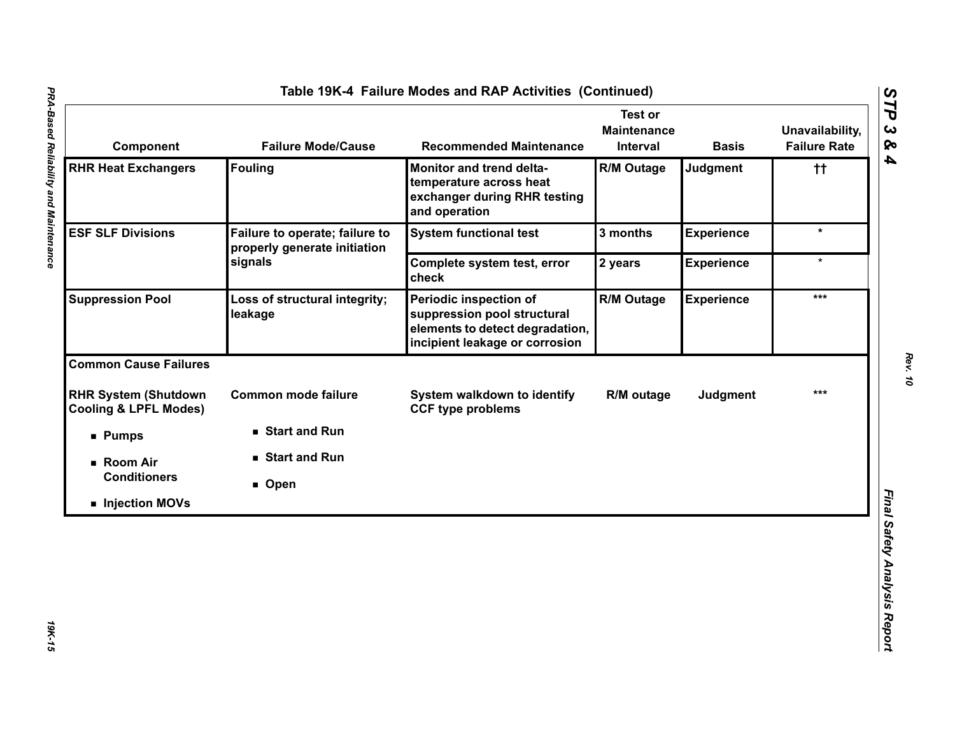| Component                                                       | <b>Failure Mode/Cause</b>                                      | <b>Recommended Maintenance</b>                                                                                             | <b>Test or</b><br><b>Maintenance</b><br>Interval | <b>Basis</b>      | Unavailability,<br><b>Failure Rate</b> |
|-----------------------------------------------------------------|----------------------------------------------------------------|----------------------------------------------------------------------------------------------------------------------------|--------------------------------------------------|-------------------|----------------------------------------|
| <b>RHR Heat Exchangers</b>                                      | <b>Fouling</b>                                                 | Monitor and trend delta-<br>temperature across heat<br>exchanger during RHR testing<br>and operation                       | <b>R/M Outage</b>                                | Judgment          | $^{\dagger\dagger}$                    |
| <b>ESF SLF Divisions</b>                                        | Failure to operate; failure to<br>properly generate initiation | <b>System functional test</b>                                                                                              | 3 months                                         | <b>Experience</b> | $\star$                                |
|                                                                 | signals                                                        | Complete system test, error<br>check                                                                                       | 2 years                                          | <b>Experience</b> | $\star$                                |
| <b>Suppression Pool</b>                                         | Loss of structural integrity;<br>leakage                       | Periodic inspection of<br>suppression pool structural<br>elements to detect degradation,<br>incipient leakage or corrosion | <b>R/M Outage</b>                                | <b>Experience</b> | ***                                    |
| <b>Common Cause Failures</b>                                    |                                                                |                                                                                                                            |                                                  |                   |                                        |
| <b>RHR System (Shutdown</b><br><b>Cooling &amp; LPFL Modes)</b> | <b>Common mode failure</b>                                     | System walkdown to identify<br><b>CCF type problems</b>                                                                    | R/M outage                                       | <b>Judgment</b>   | $***$                                  |
| <b>Pumps</b>                                                    | Start and Run                                                  |                                                                                                                            |                                                  |                   |                                        |
| ■ Room Air                                                      | ■ Start and Run                                                |                                                                                                                            |                                                  |                   |                                        |
| <b>Conditioners</b>                                             | ■ Open                                                         |                                                                                                                            |                                                  |                   |                                        |
| Injection MOVs                                                  |                                                                |                                                                                                                            |                                                  |                   |                                        |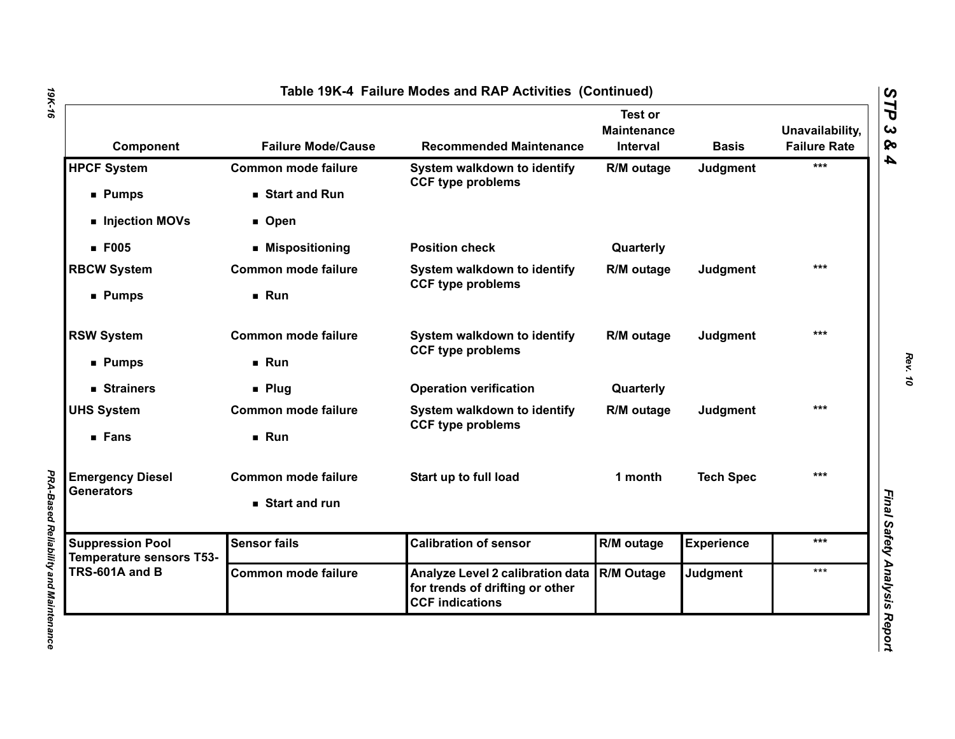| Component                                                  | <b>Failure Mode/Cause</b>  | <b>Recommended Maintenance</b>                                                                | <b>Test or</b><br><b>Maintenance</b><br>Interval | <b>Basis</b>      | Unavailability,<br><b>Failure Rate</b> |
|------------------------------------------------------------|----------------------------|-----------------------------------------------------------------------------------------------|--------------------------------------------------|-------------------|----------------------------------------|
| <b>HPCF System</b>                                         | <b>Common mode failure</b> | System walkdown to identify<br><b>CCF type problems</b>                                       | R/M outage                                       | Judgment          | ***                                    |
| <b>Pumps</b>                                               | Start and Run              |                                                                                               |                                                  |                   |                                        |
| Injection MOVs                                             | ■ Open                     |                                                                                               |                                                  |                   |                                        |
| <b>F005</b>                                                | ■ Mispositioning           | <b>Position check</b>                                                                         | Quarterly                                        |                   |                                        |
| <b>RBCW System</b>                                         | <b>Common mode failure</b> | System walkdown to identify<br><b>CCF type problems</b>                                       | R/M outage                                       | Judgment          | ***                                    |
| ■ Pumps                                                    | Run                        |                                                                                               |                                                  |                   |                                        |
| <b>RSW System</b>                                          | <b>Common mode failure</b> | System walkdown to identify<br><b>CCF type problems</b>                                       | R/M outage                                       | Judgment          | $***$                                  |
| ■ Pumps                                                    | Run                        |                                                                                               |                                                  |                   |                                        |
| ■ Strainers                                                | $\blacksquare$ Plug        | <b>Operation verification</b>                                                                 | Quarterly                                        |                   |                                        |
| <b>UHS System</b>                                          | <b>Common mode failure</b> | System walkdown to identify                                                                   | R/M outage                                       | Judgment          | $***$                                  |
| ■ Fans                                                     | Run                        | <b>CCF type problems</b>                                                                      |                                                  |                   |                                        |
| <b>Emergency Diesel</b>                                    | <b>Common mode failure</b> | Start up to full load                                                                         | 1 month                                          | <b>Tech Spec</b>  | $***$                                  |
| <b>Generators</b>                                          | ■ Start and run            |                                                                                               |                                                  |                   |                                        |
| <b>Suppression Pool</b><br><b>Temperature sensors T53-</b> | <b>Sensor fails</b>        | <b>Calibration of sensor</b>                                                                  | R/M outage                                       | <b>Experience</b> | ***                                    |
| TRS-601A and B                                             | <b>Common mode failure</b> | Analyze Level 2 calibration data<br>for trends of drifting or other<br><b>CCF indications</b> | R/M Outage                                       | <b>Judgment</b>   | $***$                                  |

*PRA-Based Reliability and Maintenance* 

**PRA-Based Reliability and Maintenance**